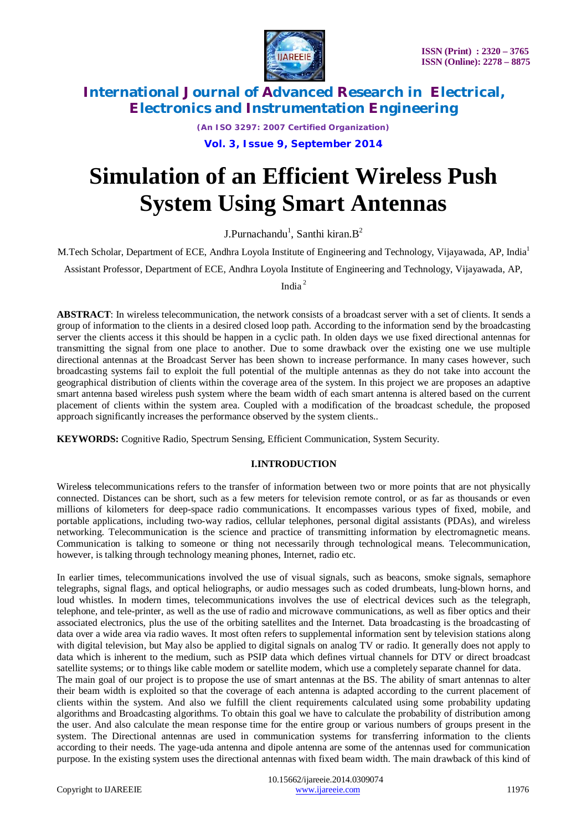

*(An ISO 3297: 2007 Certified Organization)*

**Vol. 3, Issue 9, September 2014**

# **Simulation of an Efficient Wireless Push System Using Smart Antennas**

J.Purnachandu<sup>1</sup>, Santhi kiran. $B^2$ 

M.Tech Scholar, Department of ECE, Andhra Loyola Institute of Engineering and Technology, Vijayawada, AP, India<sup>1</sup>

Assistant Professor, Department of ECE, Andhra Loyola Institute of Engineering and Technology, Vijayawada, AP,

India <sup>2</sup>

**ABSTRACT**: In wireless telecommunication, the network consists of a broadcast server with a set of clients. It sends a group of information to the clients in a desired closed loop path. According to the information send by the broadcasting server the clients access it this should be happen in a cyclic path. In olden days we use fixed directional antennas for transmitting the signal from one place to another. Due to some drawback over the existing one we use multiple directional antennas at the Broadcast Server has been shown to increase performance. In many cases however, such broadcasting systems fail to exploit the full potential of the multiple antennas as they do not take into account the geographical distribution of clients within the coverage area of the system. In this project we are proposes an adaptive smart antenna based wireless push system where the beam width of each smart antenna is altered based on the current placement of clients within the system area. Coupled with a modification of the broadcast schedule, the proposed approach significantly increases the performance observed by the system clients..

**KEYWORDS:** Cognitive Radio, Spectrum Sensing, Efficient Communication, System Security.

### **I.INTRODUCTION**

Wireles**s** telecommunications refers to the transfer of information between two or more points that are not physically connected. Distances can be short, such as a few meters for television remote control, or as far as thousands or even millions of kilometers for deep-space radio communications. It encompasses various types of fixed, mobile, and portable applications, including two-way radios, cellular telephones, personal digital assistants (PDAs), and wireless networking. Telecommunication is the science and practice of transmitting information by electromagnetic means. Communication is talking to someone or thing not necessarily through technological means. Telecommunication, however, is talking through technology meaning phones, Internet, radio etc.

In earlier times, telecommunications involved the use of visual signals, such as beacons, smoke signals, semaphore telegraphs, signal flags, and optical heliographs, or audio messages such as coded drumbeats, lung-blown horns, and loud whistles. In modern times, telecommunications involves the use of electrical devices such as the telegraph, telephone, and tele-printer, as well as the use of radio and microwave communications, as well as fiber optics and their associated electronics, plus the use of the orbiting satellites and the Internet. Data broadcasting is the broadcasting of data over a wide area via radio waves. It most often refers to supplemental information sent by television stations along with digital television, but May also be applied to digital signals on analog TV or radio. It generally does not apply to data which is inherent to the medium, such as PSIP data which defines virtual channels for DTV or direct broadcast satellite systems; or to things like cable modem or satellite modem, which use a completely separate channel for data. The main goal of our project is to propose the use of smart antennas at the BS. The ability of smart antennas to alter their beam width is exploited so that the coverage of each antenna is adapted according to the current placement of clients within the system. And also we fulfill the client requirements calculated using some probability updating algorithms and Broadcasting algorithms. To obtain this goal we have to calculate the probability of distribution among the user. And also calculate the mean response time for the entire group or various numbers of groups present in the system. The Directional antennas are used in communication systems for transferring information to the clients according to their needs. The yage-uda antenna and dipole antenna are some of the antennas used for communication purpose. In the existing system uses the directional antennas with fixed beam width. The main drawback of this kind of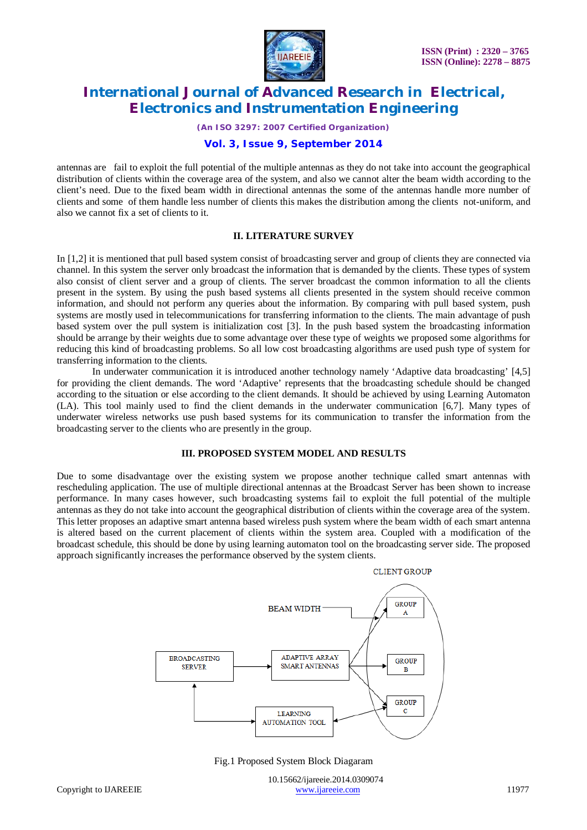

*(An ISO 3297: 2007 Certified Organization)*

#### **Vol. 3, Issue 9, September 2014**

antennas are fail to exploit the full potential of the multiple antennas as they do not take into account the geographical distribution of clients within the coverage area of the system, and also we cannot alter the beam width according to the client's need. Due to the fixed beam width in directional antennas the some of the antennas handle more number of clients and some of them handle less number of clients this makes the distribution among the clients not-uniform, and also we cannot fix a set of clients to it.

#### **II. LITERATURE SURVEY**

In [1,2] it is mentioned that pull based system consist of broadcasting server and group of clients they are connected via channel. In this system the server only broadcast the information that is demanded by the clients. These types of system also consist of client server and a group of clients. The server broadcast the common information to all the clients present in the system. By using the push based systems all clients presented in the system should receive common information, and should not perform any queries about the information. By comparing with pull based system, push systems are mostly used in telecommunications for transferring information to the clients. The main advantage of push based system over the pull system is initialization cost [3]. In the push based system the broadcasting information should be arrange by their weights due to some advantage over these type of weights we proposed some algorithms for reducing this kind of broadcasting problems. So all low cost broadcasting algorithms are used push type of system for transferring information to the clients.

In underwater communication it is introduced another technology namely 'Adaptive data broadcasting' [4,5] for providing the client demands. The word 'Adaptive' represents that the broadcasting schedule should be changed according to the situation or else according to the client demands. It should be achieved by using Learning Automaton (LA). This tool mainly used to find the client demands in the underwater communication [6,7]. Many types of underwater wireless networks use push based systems for its communication to transfer the information from the broadcasting server to the clients who are presently in the group.

#### **III. PROPOSED SYSTEM MODEL AND RESULTS**

Due to some disadvantage over the existing system we propose another technique called smart antennas with rescheduling application. The use of multiple directional antennas at the Broadcast Server has been shown to increase performance. In many cases however, such broadcasting systems fail to exploit the full potential of the multiple antennas as they do not take into account the geographical distribution of clients within the coverage area of the system. This letter proposes an adaptive smart antenna based wireless push system where the beam width of each smart antenna is altered based on the current placement of clients within the system area. Coupled with a modification of the broadcast schedule, this should be done by using learning automaton tool on the broadcasting server side. The proposed approach significantly increases the performance observed by the system clients.



#### Fig.1 Proposed System Block Diagaram

 10.15662/ijareeie.2014.0309074 Copyright to IJAREEIE www.ijareeie.com 11977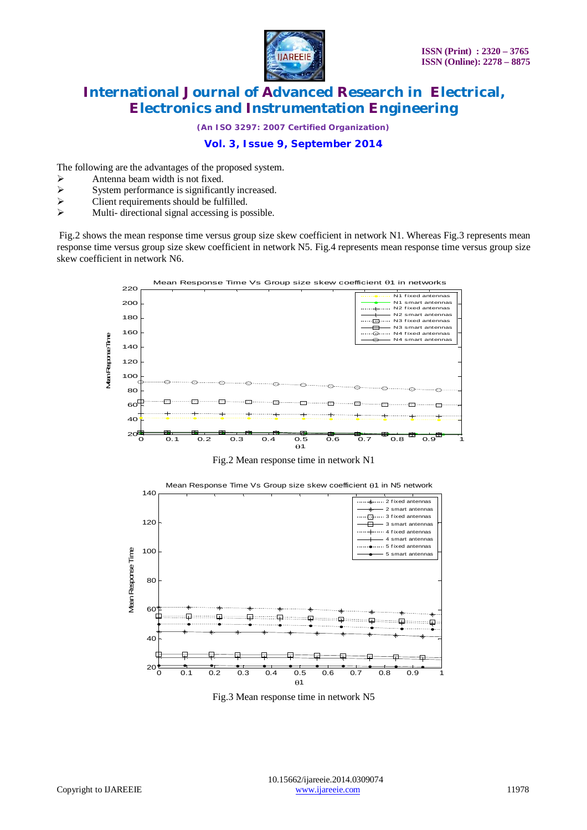

*(An ISO 3297: 2007 Certified Organization)*

## **Vol. 3, Issue 9, September 2014**

The following are the advantages of the proposed system.

- Antenna beam width is not fixed.<br>
System performance is significan
- $\triangleright$  System performance is significantly increased.<br> $\triangleright$  Client requirements should be fulfilled.
- Client requirements should be fulfilled.
- $\triangleright$  Multi- directional signal accessing is possible.

Fig.2 shows the mean response time versus group size skew coefficient in network N1. Whereas Fig.3 represents mean response time versus group size skew coefficient in network N5. Fig.4 represents mean response time versus group size skew coefficient in network N6.



Fig.3 Mean response time in network N5